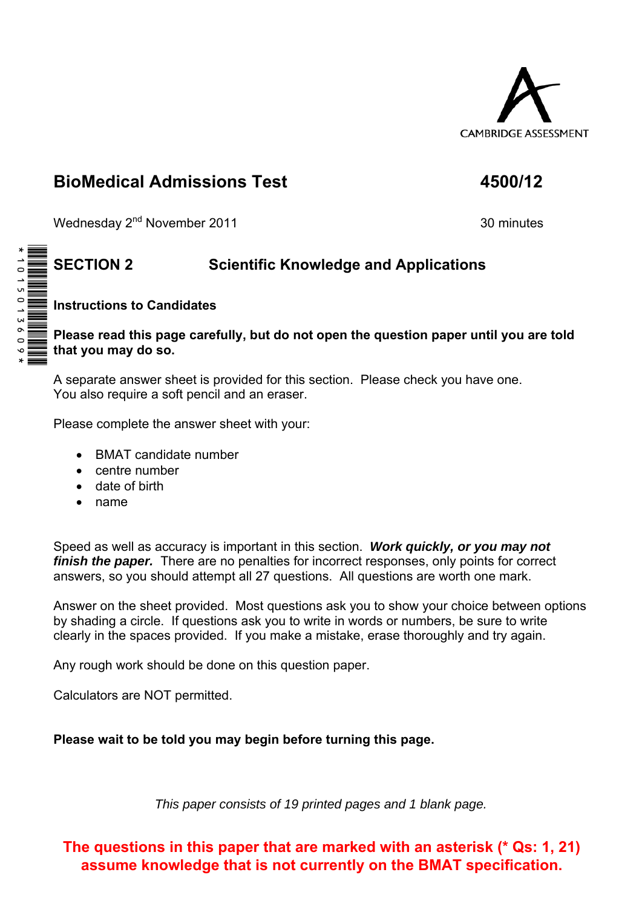

## **BioMedical Admissions Test 4500/12**

Wednesday 2<sup>nd</sup> November 2011 30 minutes

## **SECTION 2 Scientific Knowledge and Applications**

**Instructions to Candidates** 

**Please read this page carefully, but do not open the question paper until you are told that you may do so.** 

A separate answer sheet is provided for this section. Please check you have one. You also require a soft pencil and an eraser.

Please complete the answer sheet with your:

- BMAT candidate number
- centre number
- date of birth
- name

Speed as well as accuracy is important in this section. *Work quickly, or you may not finish the paper.* There are no penalties for incorrect responses, only points for correct answers, so you should attempt all 27 questions. All questions are worth one mark.

Answer on the sheet provided. Most questions ask you to show your choice between options by shading a circle. If questions ask you to write in words or numbers, be sure to write clearly in the spaces provided. If you make a mistake, erase thoroughly and try again.

Any rough work should be done on this question paper.

Calculators are NOT permitted.

**Please wait to be told you may begin before turning this page.** 

*This paper consists of 19 printed pages and 1 blank page.* 

**The questions in this paper that are marked with an asterisk (\* Qs: 1, 21) assume knowledge that is not currently on the BMAT specification.**

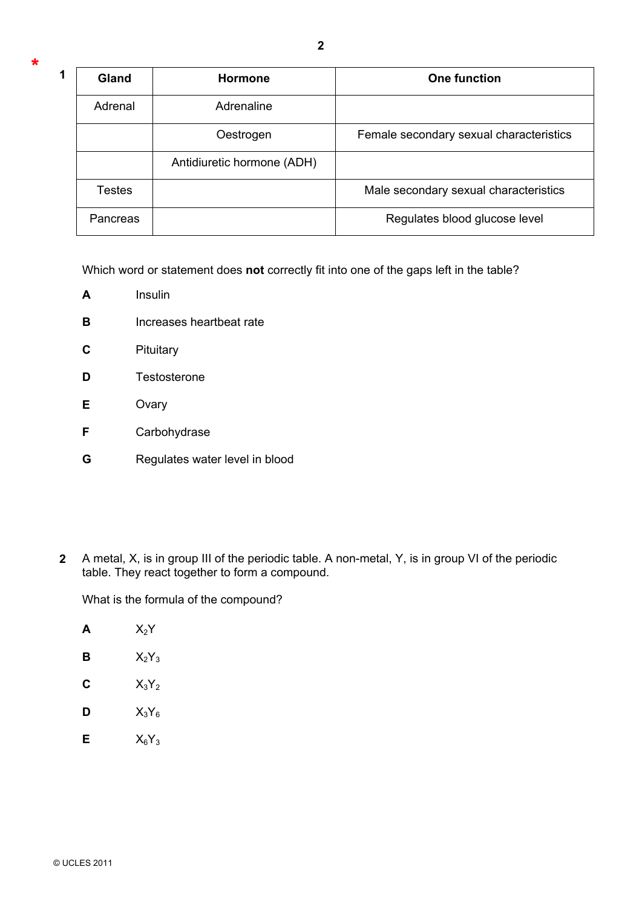| 1 | Gland         | <b>Hormone</b>             | <b>One function</b>                     |
|---|---------------|----------------------------|-----------------------------------------|
|   | Adrenal       | Adrenaline                 |                                         |
|   |               | Oestrogen                  | Female secondary sexual characteristics |
|   |               | Antidiuretic hormone (ADH) |                                         |
|   | <b>Testes</b> |                            | Male secondary sexual characteristics   |
|   | Pancreas      |                            | Regulates blood glucose level           |

Which word or statement does **not** correctly fit into one of the gaps left in the table?

- **A** Insulin
- **B Increases heartbeat rate**
- **C** Pituitary
- **D** Testosterone
- **E** Ovary
- **F** Carbohydrase
- **G** Regulates water level in blood
- **2** A metal, X, is in group III of the periodic table. A non-metal, Y, is in group VI of the periodic table. They react together to form a compound.

What is the formula of the compound?

| A | $\mathsf{X}_2\mathsf{Y}$ |
|---|--------------------------|
| В | $X_2Y_3$                 |
| C | $X_3Y_2$                 |
| D | $X_3Y_6$                 |
| Е | $X_6Y_3$                 |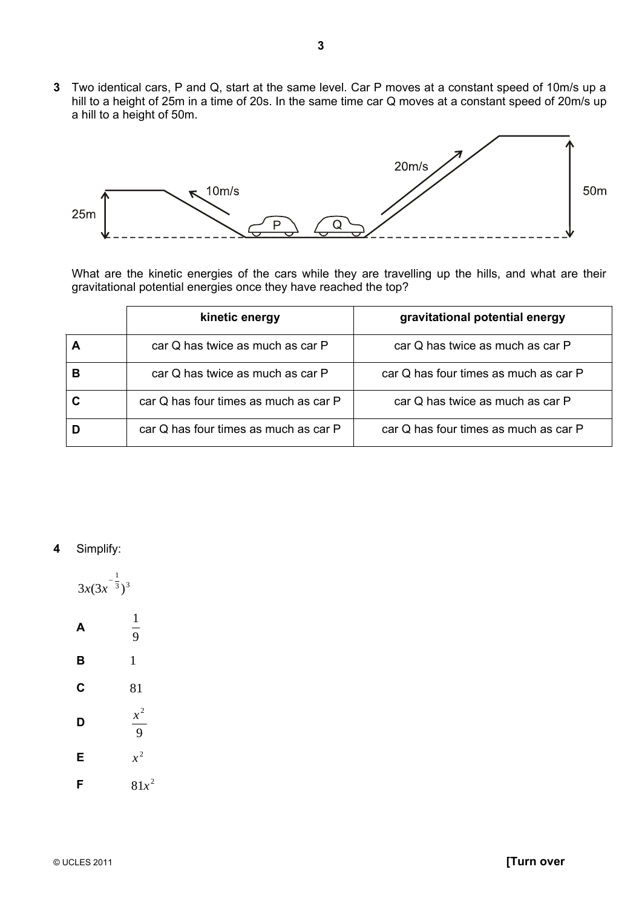**3** Two identical cars, P and Q, start at the same level. Car P moves at a constant speed of 10m/s up a hill to a height of 25m in a time of 20s. In the same time car Q moves at a constant speed of 20m/s up a hill to a height of 50m.



What are the kinetic energies of the cars while they are travelling up the hills, and what are their gravitational potential energies once they have reached the top?

|                                       | kinetic energy                   | gravitational potential energy        |
|---------------------------------------|----------------------------------|---------------------------------------|
| car Q has twice as much as car P      |                                  | car Q has twice as much as car P      |
| в                                     | car Q has twice as much as car P | car Q has four times as much as car P |
| car Q has four times as much as car P |                                  | car Q has twice as much as car P      |
| car Q has four times as much as car P |                                  | car Q has four times as much as car P |

**4** Simplify:

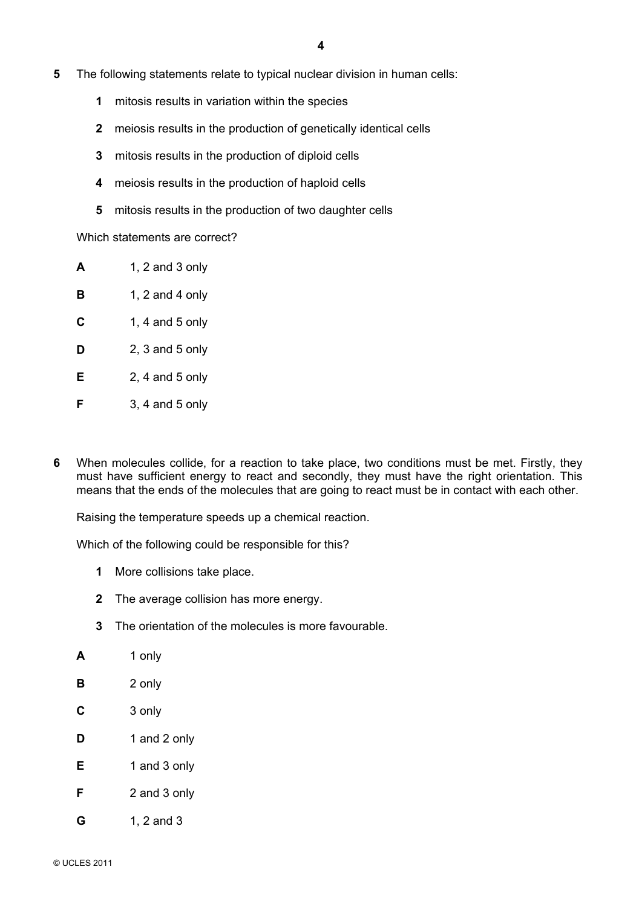- **5** The following statements relate to typical nuclear division in human cells:
	- **1** mitosis results in variation within the species
	- **2** meiosis results in the production of genetically identical cells
	- **3** mitosis results in the production of diploid cells
	- **4** meiosis results in the production of haploid cells
	- **5** mitosis results in the production of two daughter cells

Which statements are correct?

- **A** 1, 2 and 3 only
- **B** 1, 2 and 4 only
- **C** 1, 4 and 5 only
- **D** 2, 3 and 5 only
- **E** 2, 4 and 5 only
- **F** 3, 4 and 5 only
- **6** When molecules collide, for a reaction to take place, two conditions must be met. Firstly, they must have sufficient energy to react and secondly, they must have the right orientation. This means that the ends of the molecules that are going to react must be in contact with each other.

Raising the temperature speeds up a chemical reaction.

Which of the following could be responsible for this?

- **1** More collisions take place.
- **2** The average collision has more energy.
- **3** The orientation of the molecules is more favourable.
- **A** 1 only **B** 2 only
- **C** 3 only
- **D** 1 and 2 only
- **E** 1 and 3 only
- **F** 2 and 3 only
- **G** 1, 2 and 3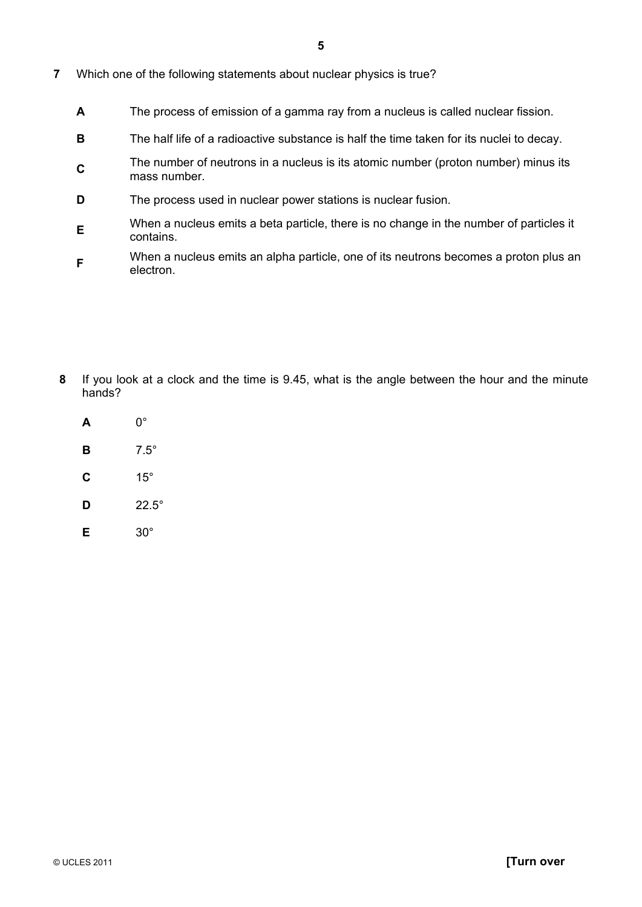- **7** Which one of the following statements about nuclear physics is true?
	- **A** The process of emission of a gamma ray from a nucleus is called nuclear fission.
	- **B** The half life of a radioactive substance is half the time taken for its nuclei to decay.
	- **C**<sub>The number of neutrons in a nucleus is its atomic number (proton number) minus its</sub> mass number.
	- **D** The process used in nuclear power stations is nuclear fusion.
	- **E**When a nucleus emits a beta particle, there is no change in the number of particles it contains.
	- **F**When a nucleus emits an alpha particle, one of its neutrons becomes a proton plus an electron.

- **8** If you look at a clock and the time is 9.45, what is the angle between the hour and the minute hands?
	- **A** 0° **B** 7.5° **C** 15°  $D$  22.5° **E** 30°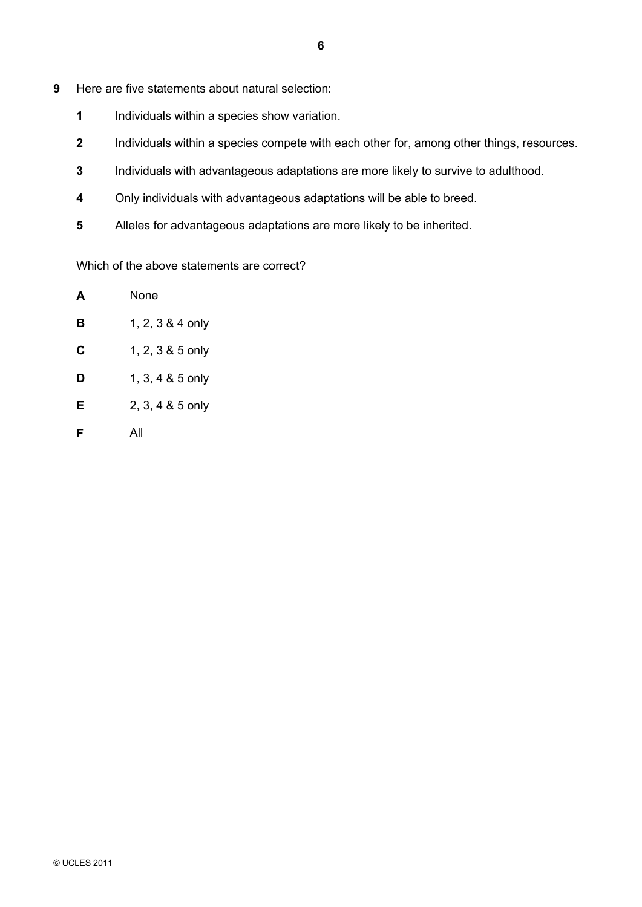- **9** Here are five statements about natural selection:
	- **1** Individuals within a species show variation.
	- **2** Individuals within a species compete with each other for, among other things, resources.
	- **3** Individuals with advantageous adaptations are more likely to survive to adulthood.
	- **4** Only individuals with advantageous adaptations will be able to breed.
	- **5** Alleles for advantageous adaptations are more likely to be inherited.

Which of the above statements are correct?

| А | None             |
|---|------------------|
| в | 1, 2, 3 & 4 only |
| С | 1, 2, 3 & 5 only |
| D | 1, 3, 4 & 5 only |
| Е | 2, 3, 4 & 5 only |
| F | All              |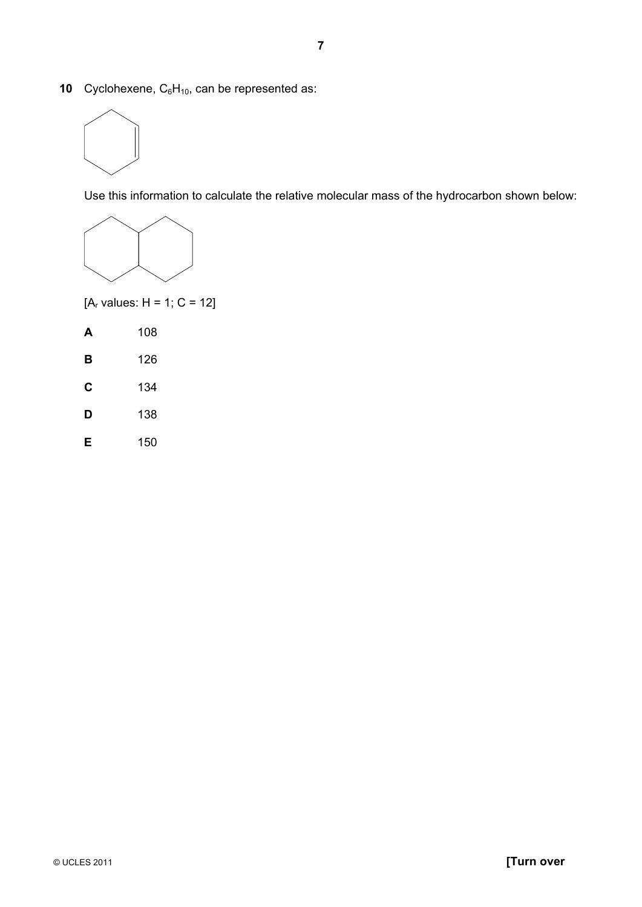**10** Cyclohexene, C<sub>6</sub>H<sub>10</sub>, can be represented as:



Use this information to calculate the relative molecular mass of the hydrocarbon shown below:



 $[A_r \text{ values}: H = 1; C = 12]$ 

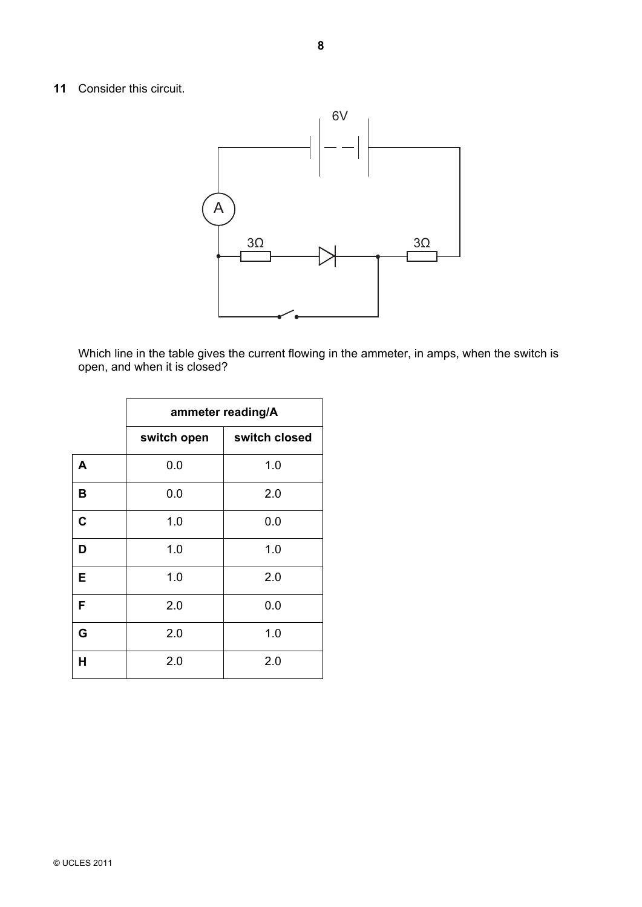## **11** Consider this circuit.



Which line in the table gives the current flowing in the ammeter, in amps, when the switch is open, and when it is closed?

|             | ammeter reading/A |               |  |
|-------------|-------------------|---------------|--|
|             | switch open       | switch closed |  |
| A           | 0.0               | 1.0           |  |
| B           | 0.0               | 2.0           |  |
| $\mathbf c$ | 1.0               | 0.0           |  |
| D           | 1.0               | 1.0           |  |
| Е           | 1.0               | 2.0           |  |
| F           | 2.0               | 0.0           |  |
| G           | 2.0               | 1.0           |  |
| H           | 2.0               | 2.0           |  |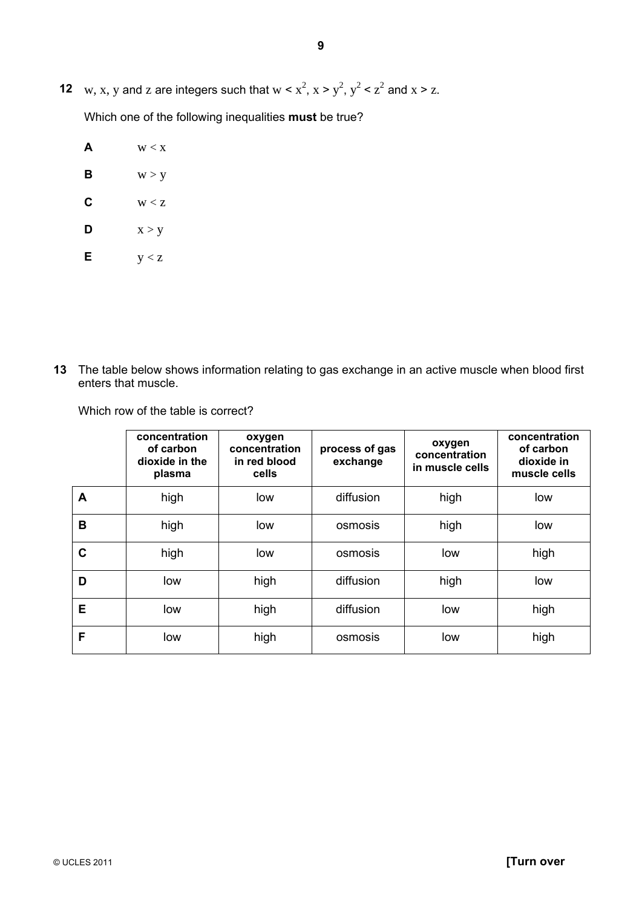**12** w, x, y and z are integers such that  $w < x^2$ ,  $x > y^2$ ,  $y^2 < z^2$  and  $x > z$ .

Which one of the following inequalities **must** be true?

- $\mathbf{A}$   $\mathbf{w} < \mathbf{x}$ **B**  $w > y$
- $C$   $W < Z$
- **D**  $x > y$
- **E**  $y < z$

**13** The table below shows information relating to gas exchange in an active muscle when blood first enters that muscle.

Which row of the table is correct?

|   | concentration<br>of carbon<br>dioxide in the<br>plasma | oxygen<br>concentration<br>in red blood<br>cells | process of gas<br>exchange | oxygen<br>concentration<br>in muscle cells | concentration<br>of carbon<br>dioxide in<br>muscle cells |
|---|--------------------------------------------------------|--------------------------------------------------|----------------------------|--------------------------------------------|----------------------------------------------------------|
| A | high                                                   | low                                              | diffusion                  | high                                       | low                                                      |
| B | high                                                   | low                                              | osmosis                    | high                                       | low                                                      |
| C | high                                                   | low                                              | osmosis                    | low                                        | high                                                     |
| D | low                                                    | high                                             | diffusion                  | high                                       | low                                                      |
| Е | low                                                    | high                                             | diffusion                  | low                                        | high                                                     |
| F | low                                                    | high                                             | osmosis                    | low                                        | high                                                     |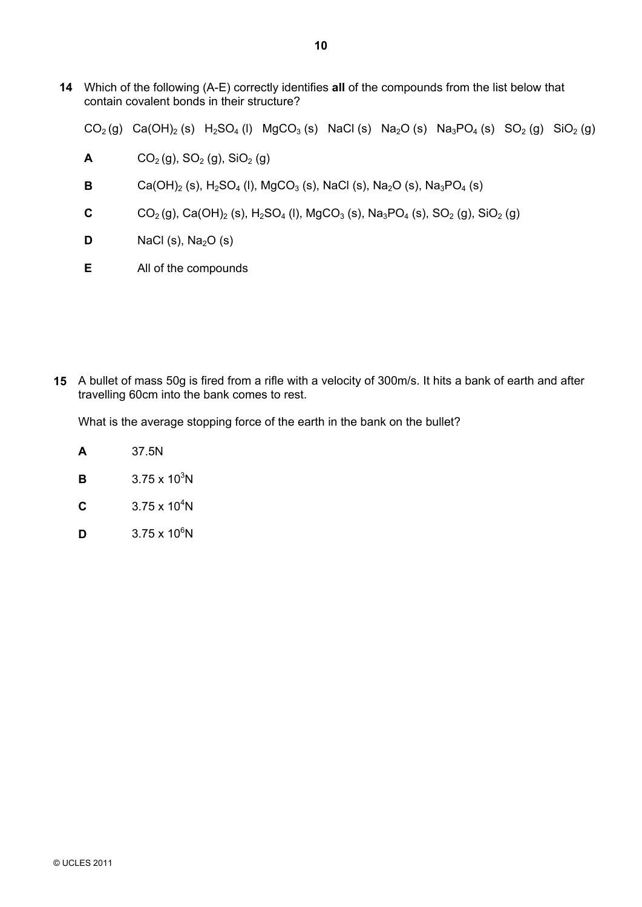**14** Which of the following (A-E) correctly identifies **all** of the compounds from the list below that contain covalent bonds in their structure?

 $CO_2(g)$  Ca(OH)<sub>2</sub> (s) H<sub>2</sub>SO<sub>4</sub> (l) MgCO<sub>3</sub> (s) NaCl (s) Na<sub>2</sub>O (s) Na<sub>3</sub>PO<sub>4</sub> (s) SO<sub>2</sub> (g) SiO<sub>2</sub> (g)

- **A**  $CO_2(g)$ ,  $SO_2(g)$ ,  $SiO_2(g)$
- **B**  $Ca(OH)_2$  (s),  $H_2SO_4$  (l), MgCO<sub>3</sub> (s), NaCl (s), Na<sub>2</sub>O (s), Na<sub>3</sub>PO<sub>4</sub> (s)
- **C**  $CO_2(g)$ , Ca(OH)<sub>2</sub> (s), H<sub>2</sub>SO<sub>4</sub> (l), MgCO<sub>3</sub> (s), Na<sub>3</sub>PO<sub>4</sub> (s), SO<sub>2</sub> (g), SiO<sub>2</sub> (g)
- **D**  $\blacksquare$  NaCl (s), Na<sub>2</sub>O (s)
- **E** All of the compounds

**15** A bullet of mass 50g is fired from a rifle with a velocity of 300m/s. It hits a bank of earth and after travelling 60cm into the bank comes to rest.

What is the average stopping force of the earth in the bank on the bullet?

- **A** 37.5N
- **B**  $3.75 \times 10^3$ N
- **C**  $3.75 \times 10^4$ N
- **D**  $3.75 \times 10^6$ N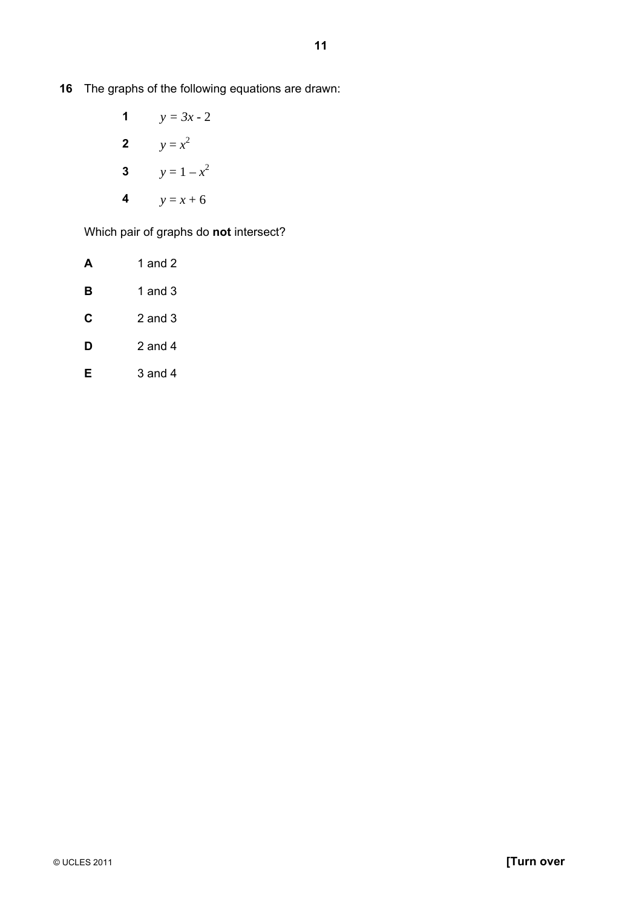- **16** The graphs of the following equations are drawn:
- **1**  $y = 3x 2$ **2**  $y = x^2$ **3**  $y = 1 - x^2$ **4**  $y = x + 6$

Which pair of graphs do **not** intersect?

| A | 1 and 2     |
|---|-------------|
| в | 1 and 3     |
| C | $2$ and $3$ |
| D | 2 and 4     |
| F | $3$ and $4$ |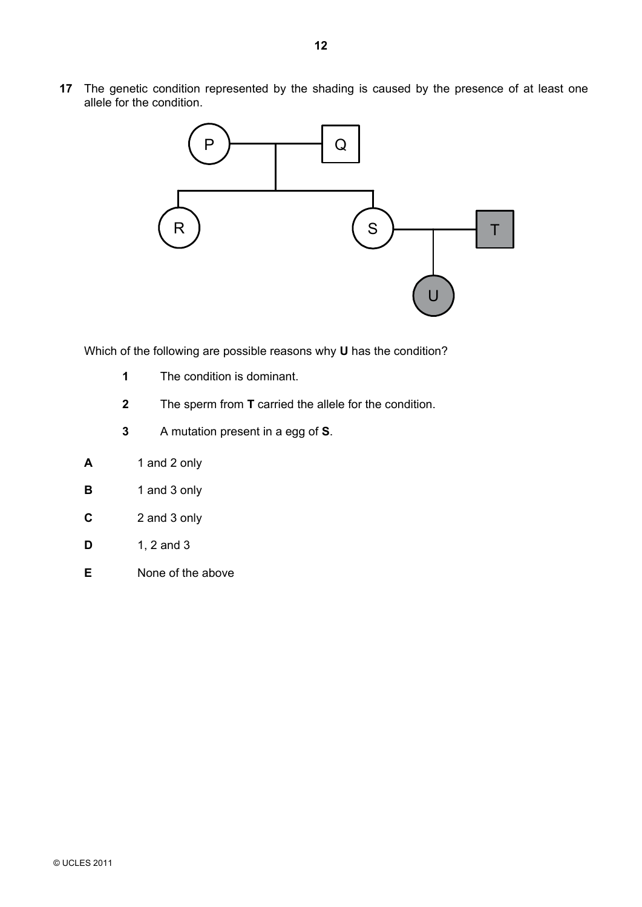**17** The genetic condition represented by the shading is caused by the presence of at least one allele for the condition.



Which of the following are possible reasons why **U** has the condition?

- **1** The condition is dominant.
- **2** The sperm from **T** carried the allele for the condition.
- **3** A mutation present in a egg of **S**.
- **A** 1 and 2 only
- **B** 1 and 3 only
- **C** 2 and 3 only
- **D** 1, 2 and 3
- **E** None of the above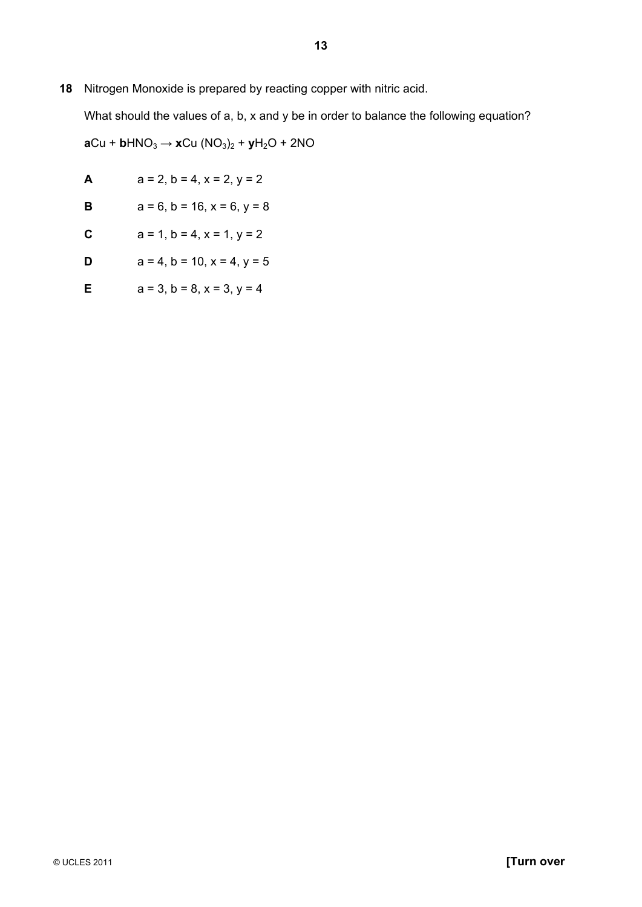## **18** Nitrogen Monoxide is prepared by reacting copper with nitric acid.

What should the values of a, b, x and y be in order to balance the following equation?  $aCu + bHNO<sub>3</sub> \rightarrow xCu (NO<sub>3</sub>)<sub>2</sub> + yH<sub>2</sub>O + 2NO$ 

| A           | $a = 2, b = 4, x = 2, y = 2$           |
|-------------|----------------------------------------|
| $\mathbf B$ | $a = 6$ , $b = 16$ , $x = 6$ , $y = 8$ |
| $\mathbf c$ | $a = 1$ , $b = 4$ , $x = 1$ , $y = 2$  |
| D           | $a = 4$ , $b = 10$ , $x = 4$ , $y = 5$ |
| Е           | $a = 3$ , $b = 8$ , $x = 3$ , $y = 4$  |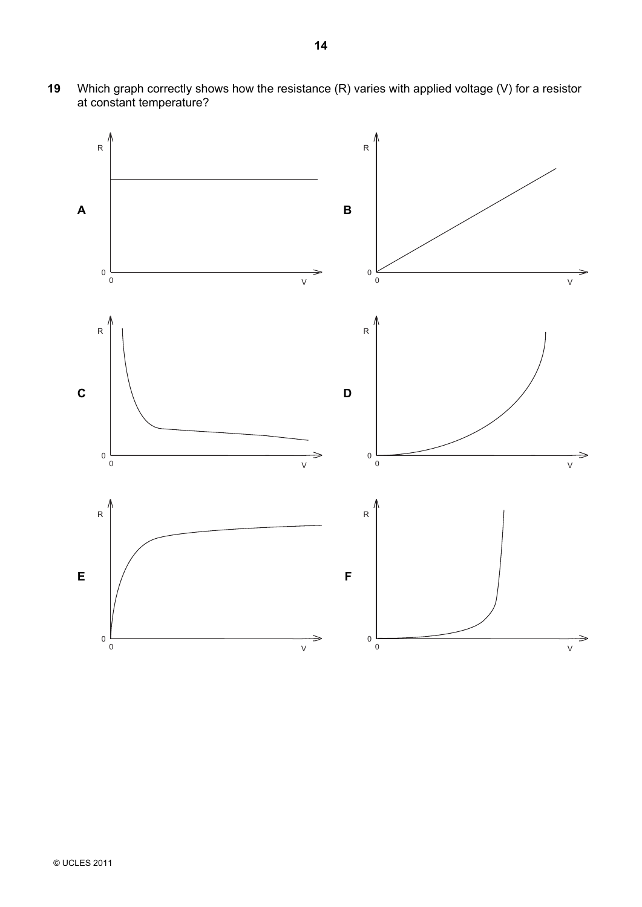**19** Which graph correctly shows how the resistance (R) varies with applied voltage (V) for a resistor at constant temperature?

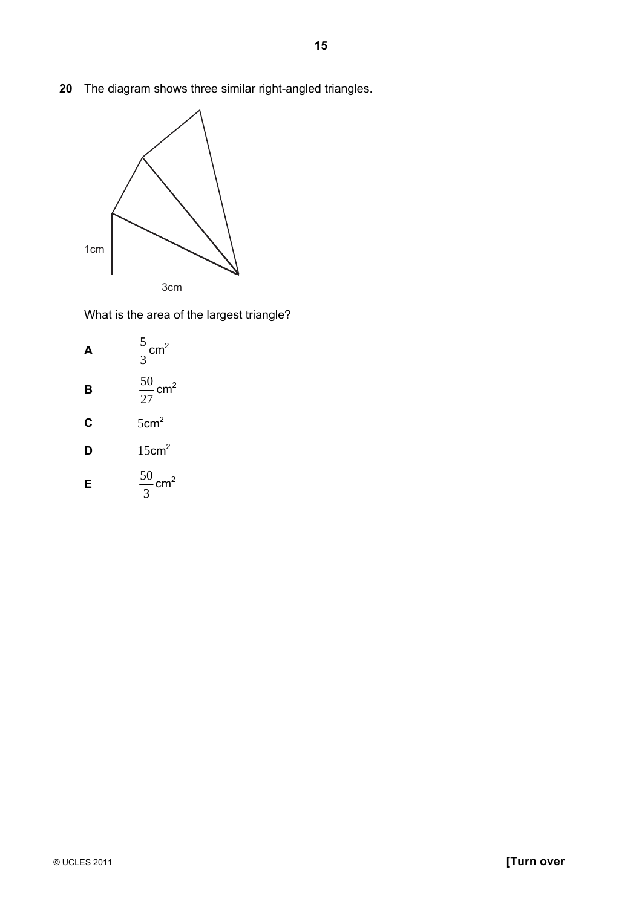**20** The diagram shows three similar right-angled triangles.



What is the area of the largest triangle?

**A** 
$$
\frac{5}{3}
$$
cm<sup>2</sup>  
\n**B**  $\frac{50}{27}$ cm<sup>2</sup>  
\n**C** 5cm<sup>2</sup>  
\n**D** 15cm<sup>2</sup>  
\n**E**  $\frac{50}{3}$ cm<sup>2</sup>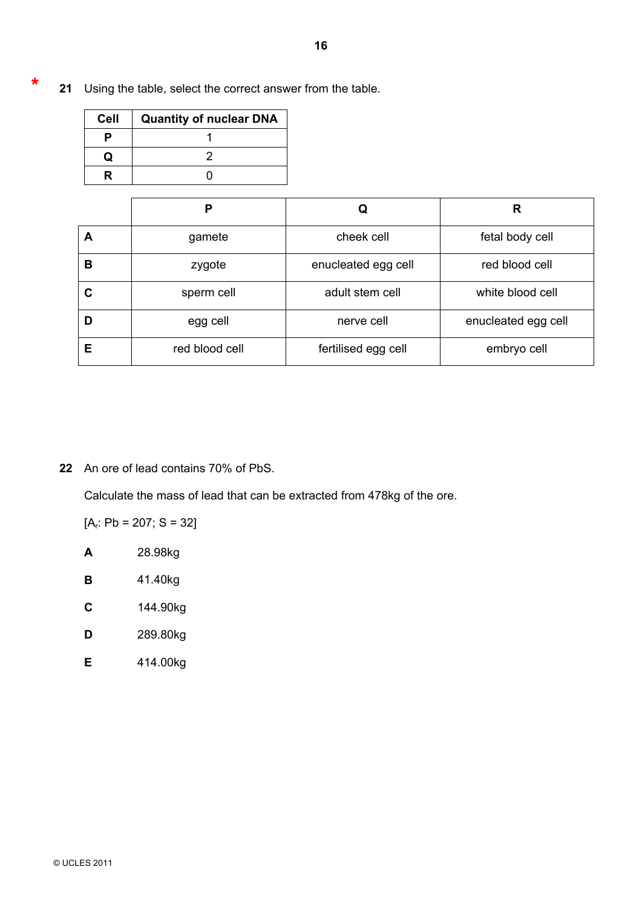**21** Using the table, select the correct answer from the table. \*

| <b>Cell</b> | <b>Quantity of nuclear DNA</b> |
|-------------|--------------------------------|
|             |                                |
| O           |                                |
|             |                                |

|   | P              |                     | R                   |
|---|----------------|---------------------|---------------------|
| А | gamete         | cheek cell          | fetal body cell     |
| в | zygote         | enucleated egg cell | red blood cell      |
| С | sperm cell     | adult stem cell     | white blood cell    |
| D | egg cell       | nerve cell          | enucleated egg cell |
| Е | red blood cell | fertilised egg cell | embryo cell         |

**22** An ore of lead contains 70% of PbS.

Calculate the mass of lead that can be extracted from 478kg of the ore.

 $[A_r: Pb = 207; S = 32]$ 

**A** 28.98kg

**B** 41.40kg

**C** 144.90kg

**D** 289.80kg

**E** 414.00kg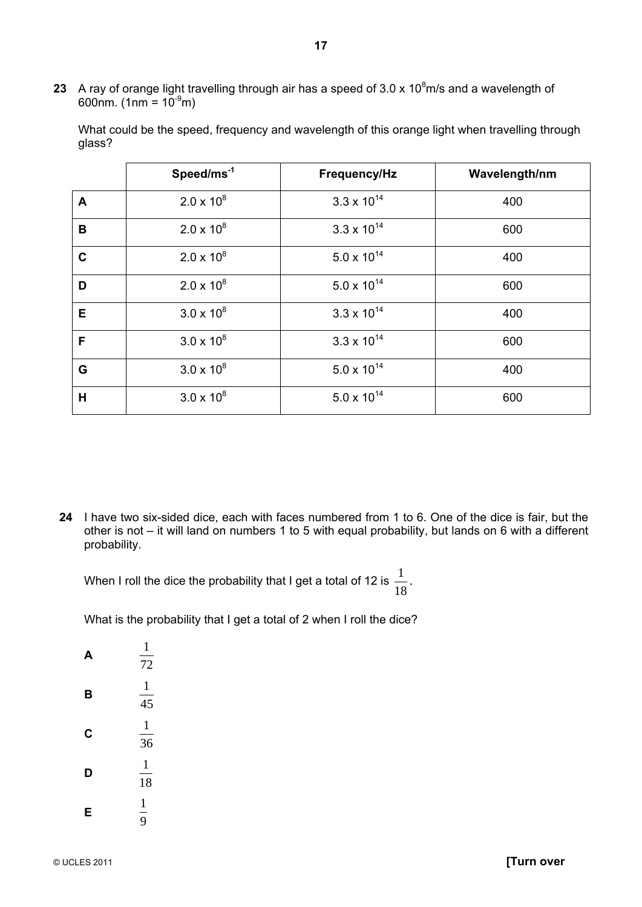23 A ray of orange light travelling through air has a speed of 3.0 x 10<sup>8</sup>m/s and a wavelength of 600nm. (1nm =  $10^{-9}$ m)

| What could be the speed, frequency and wavelength of this orange light when travelling through |  |
|------------------------------------------------------------------------------------------------|--|
| glass?                                                                                         |  |

|                  | Speed/ms <sup>-1</sup> | Frequency/Hz         | Wavelength/nm |
|------------------|------------------------|----------------------|---------------|
| $\blacktriangle$ | $2.0 \times 10^8$      | $3.3 \times 10^{14}$ | 400           |
| B                | $2.0 \times 10^8$      | $3.3 \times 10^{14}$ | 600           |
| $\mathbf c$      | $2.0 \times 10^8$      | $5.0 \times 10^{14}$ | 400           |
| D                | $2.0 \times 10^8$      | $5.0 \times 10^{14}$ | 600           |
| E                | $3.0 \times 10^{8}$    | $3.3 \times 10^{14}$ | 400           |
| F                | $3.0 \times 10^8$      | $3.3 \times 10^{14}$ | 600           |
| G                | $3.0 \times 10^{8}$    | $5.0 \times 10^{14}$ | 400           |
| Н                | $3.0 \times 10^8$      | $5.0 \times 10^{14}$ | 600           |

**24** I have two six-sided dice, each with faces numbered from 1 to 6. One of the dice is fair, but the other is not – it will land on numbers 1 to 5 with equal probability, but lands on 6 with a different probability.

When I roll the dice the probability that I get a total of 12 is  $\frac{1}{18}$  $\frac{1}{2}$ .

What is the probability that I get a total of 2 when I roll the dice?

| Δ | 1<br>72      |
|---|--------------|
| в | 1<br>45      |
| C | 1<br>36      |
| D | 1<br>18      |
| Е | $\mathbf{1}$ |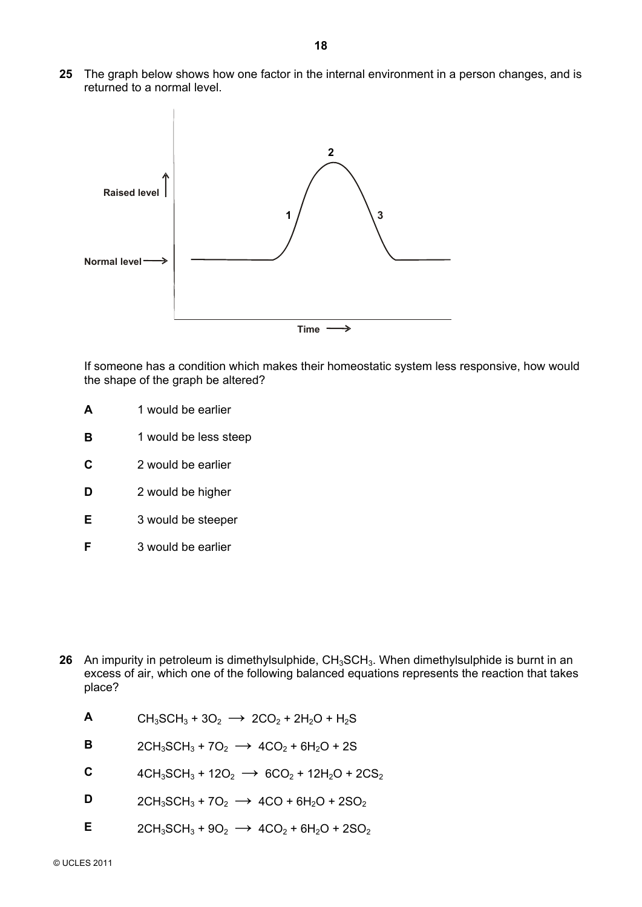**25** The graph below shows how one factor in the internal environment in a person changes, and is returned to a normal level.



If someone has a condition which makes their homeostatic system less responsive, how would the shape of the graph be altered?

- **A** 1 would be earlier
- **B** 1 would be less steep
- **C** 2 would be earlier
- **D** 2 would be higher
- **E** 3 would be steeper
- **F** 3 would be earlier

- **26** An impurity in petroleum is dimethylsulphide, CH<sub>3</sub>SCH<sub>3</sub>. When dimethylsulphide is burnt in an excess of air, which one of the following balanced equations represents the reaction that takes place?
	- **A** CH<sub>3</sub>SCH<sub>3</sub> + 3O<sub>2</sub>  $\rightarrow$  2CO<sub>2</sub> + 2H<sub>2</sub>O + H<sub>2</sub>S
	- **B**  $2CH_3SCH_3 + 7O_2 \rightarrow 4CO_2 + 6H_2O + 2S$
	- **C**  $4CH_3SCH_3 + 12O_2 \rightarrow 6CO_2 + 12H_2O + 2CS_2$
	- **D**  $2CH_3SCH_3 + 7O_2 \rightarrow 4CO + 6H_2O + 2SO_2$
	- **E**  $2CH_3SCH_3 + 9O_2 \rightarrow 4CO_2 + 6H_2O + 2SO_2$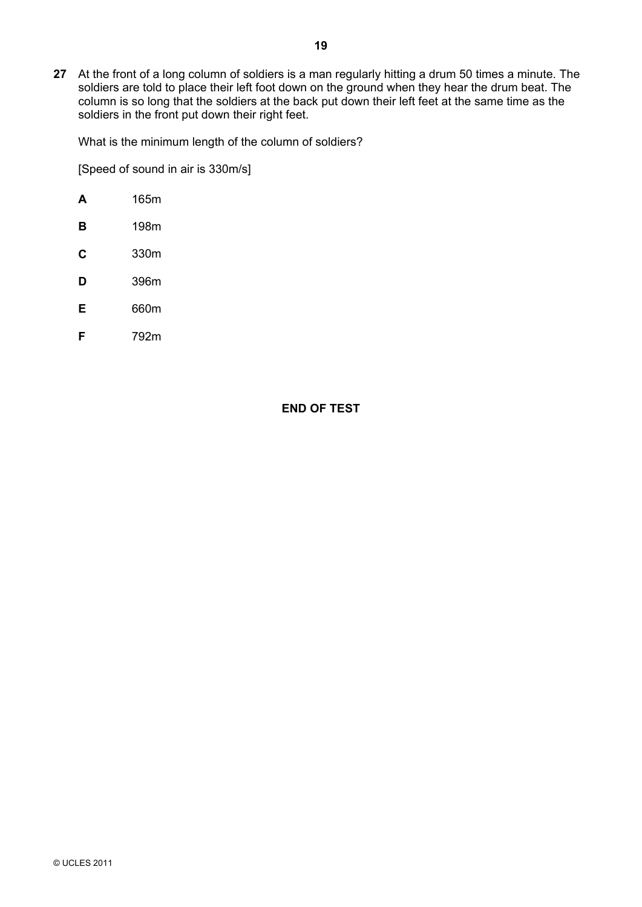**27** At the front of a long column of soldiers is a man regularly hitting a drum 50 times a minute. The soldiers are told to place their left foot down on the ground when they hear the drum beat. The column is so long that the soldiers at the back put down their left feet at the same time as the soldiers in the front put down their right feet.

What is the minimum length of the column of soldiers?

[Speed of sound in air is 330m/s]

- **A** 165m
- **B** 198m
- **C** 330m
- **D** 396m
- **E** 660m
- **F** 792m

**END OF TEST**